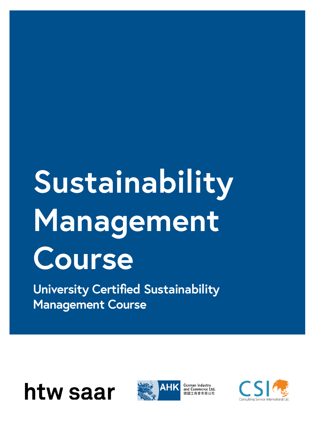# **Sustainability Management Course**

**University Certified Sustainability Management Course**



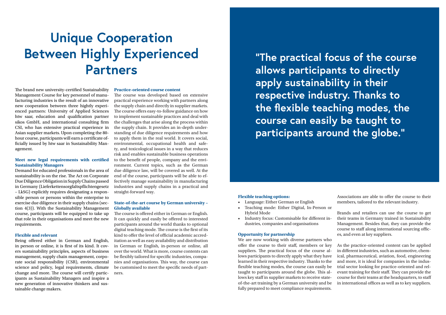The brand new university-certified Sustainability Management Course for key personnel of manufacturing industries is the result of an innovative new cooperation between three hightly experienced partners: University of Applied Sciences htw saar, education and qualification partner sikos GmbH, and international consulting firm CSI, who has extensive practical experience in Asian supplier markets. Upon completing the 80 hour course, participants will earn a certificate officially issued by htw saar in Sustainability Management.

### **Meet new legal requirements with certified Sustainability Managers**

Demand for educated professionals in the area of sustainability is on the rise. The Act on Corporate Due Diligence Obligation in Supply Chains passed in Germany (Lieferkettensorgfaltspflichtengesetz – LkSG) explicitly requires designating a responsible person or persons within the enterprise to exercise due diligence in their supply chains (section 4(3)). With the Sustainability Management course, participants will be equipped to take up that role in their organisations and meet the new requirements.

### **Flexible and relevant**

Being offered either in German and English, in person or online, it is first of its kind. It covers sustainability principles, aspects of business management, supply chain management, corporate social responsibility (CSR), environmental science and policy, legal requirements, climate change and more. The course will certify participants as Sustainability Managers and inspire a new generation of innovative thinkers and sustainable change makers.

### **Practice-oriented course content**

The course was developed based on extensive practical experience working with partners along the supply chain and directly in supplier markets. The course offers easy-to-follow guidance on how to implement sustainable practices and deal with the challenges that arise along the process within the supply chain. It provides an in-depth understanding of due diligence requirements and how to apply them in the real world. It covers social, environmental, occupational health and safety, and toxicological issues in a way that reduces risk and enables sustainable business operations to the benefit of people, company and the environment. Current topics, such as the German due diligence law, will be covered as well. At the end of the course, participants will be able to effectively manage sustainability in manufacturing industries and supply chains in a practical and straight-forward way.

### **State-of-the-art course by German university – Globally available**

The course is offered either in German or English. It can quickly and easily be offered to interested participants around the world thanks to optional digital teaching mode. The course is the first of its kind to offer the level of official academic accreditation as well as easy availability and distribution in German or English, in-person or online, all over the world. What is more, course contents can be flexibly tailored for specific industries, companies and organisations. This way, the course can be customised to meet the specific needs of partners.

## **Unique Cooperation Between Highly Experienced Partners**

**"The practical focus of the course allows participants to directly apply sustainability in their respective industry. Thanks to the flexible teaching modes, the course can easily be taught to participants around the globe."**

### **Flexible teaching options:**

- Language: Either German or English
- Teaching mode: Either Digital, In-Person or Hybrid Mode
- Industry focus: Customisable for different industries, companies and organisations

### **Opportunity for partnership**

We are now working with diverse partners who offer the course to their staff, members or key suppliers. The practical focus of the course allows participants to directly apply what they have learned in their respective industry. Thanks to the flexible teaching modes, the course can easily be taught to participants around the globe. This allows key staff in supplier markets to receive stateof-the-art training by a German university and be fully prepared to meet compliance requirements.

Associations are able to offer the course to their members, tailored to the relevant industry.

Brands and retailers can use the course to get their teams in Germany trained in Sustainability Management. Besides that, they can provide the course to staff along international sourcing offices, and even at key suppliers.

As the practice-oriented content can be applied in different industries, such as automotive, chemical, pharmaceutical, aviation, food, engineering and more, it is ideal for companies in the industrial sector looking for practice-oriented and relevant training for their staff. They can provide the course for their teams at the headquarters, to staff in international offices as well as to key suppliers.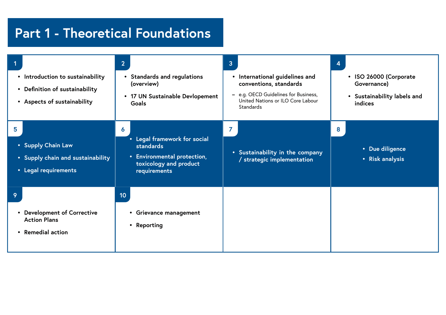## **Part 1 - Theoretical Foundations**

| • Introduction to sustainability<br>• Definition of sustainability<br>• Aspects of sustainability | 2 <br><b>Standards and regulations</b><br>(overview)<br>• 17 UN Sustainable Devlopement<br>Goals                        | 3 <sup>2</sup><br>International guidelines and<br>$\bullet$<br>conventions, standards<br>e.g. OECD Guidelines for Business,<br>-<br>United Nations or ILO Core Labour<br><b>Standards</b> | 4 |
|---------------------------------------------------------------------------------------------------|-------------------------------------------------------------------------------------------------------------------------|-------------------------------------------------------------------------------------------------------------------------------------------------------------------------------------------|---|
| 5<br>• Supply Chain Law<br>• Supply chain and sustainability<br>• Legal requirements              | 6<br>• Legal framework for social<br>standards<br>• Environmental protection,<br>toxicology and product<br>requirements | • Sustainability in the company<br>/ strategic implementation                                                                                                                             | 8 |
| 9<br>• Development of Corrective<br><b>Action Plans</b><br>• Remedial action                      | 10<br>Grievance management<br>$\bullet$<br>• Reporting                                                                  |                                                                                                                                                                                           |   |

- **• Due diligence**
- **• Risk analysis**
- **• ISO 26000 (Corporate Governance)**
- **• Sustainability labels and indices**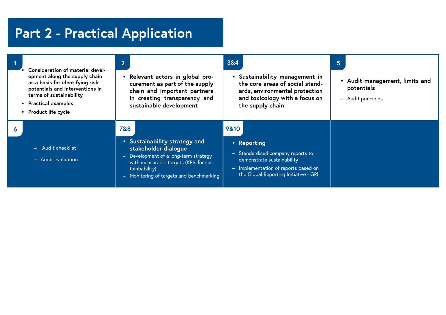## **Part 2 - Practical Application**

|                  | Consideration of material devel-<br>opment along the supply chain<br>as a basis for identifying risk<br>potentials and interventions in<br>terms of sustainability<br>• Practical examples<br>• Product life cycle | $\overline{2}$<br>$\bullet$ | Relevant actors in global pro-<br>curement as part of the supply<br>chain and important partners<br>in creating transparency and<br>sustainable development                                       | 3&4               | • Sustainability management in<br>the core areas of social stand-<br>ards, environmental protection<br>and toxicology with a focus on<br>the supply chain     | 5 |
|------------------|--------------------------------------------------------------------------------------------------------------------------------------------------------------------------------------------------------------------|-----------------------------|---------------------------------------------------------------------------------------------------------------------------------------------------------------------------------------------------|-------------------|---------------------------------------------------------------------------------------------------------------------------------------------------------------|---|
| $\boldsymbol{6}$ | - Audit checklist<br>- Audit evaluation                                                                                                                                                                            | 7&8<br>÷<br>$\rightarrow$   | • Sustainability strategy and<br>stakeholder dialogue<br>Development of a long-term strategy<br>with measurable targets (KPIs for sus-<br>tainbability)<br>Monitoring of targets and benchmarking | 98.10<br>$\equiv$ | • Reporting<br>- Standardised company reports to<br>demonstrate sustainability<br>Implementation of reports based on<br>the Global Reporting Initiative - GRI |   |

- **• Audit management, limits and potentials**
- **–** Audit principles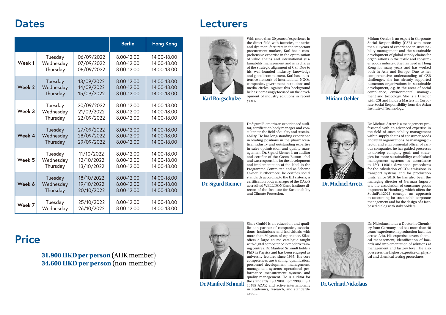|        |           |            | <b>Berlin</b> | <b>Hong Kong</b> |
|--------|-----------|------------|---------------|------------------|
| Week 1 | Tuesday   | 06/09/2022 | 8.00-12.00    | 14.00-18.00      |
|        | Wednesday | 07/09/2022 | 8.00-12.00    | 14.00-18.00      |
|        | Thursday  | 08/09/2022 | 8.00-12.00    | 14.00-18.00      |
| Week 2 | Tuesday   | 13/09/2022 | 8.00-12.00    | 14.00-18.00      |
|        | Wednesday | 14/09/2022 | 8.00-12.00    | 14.00-18.00      |
|        | Thursday  | 15/09/2022 | 8.00-12.00    | 14.00-18.00      |
| Week 3 | Tuesday   | 20/09/2022 | 8.00-12.00    | 14.00-18.00      |
|        | Wednesday | 21/09/2022 | 8.00-12.00    | 14.00-18.00      |
|        | Thursday  | 22/09/2022 | 8.00-12.00    | 14.00-18.00      |
| Week 4 | Tuesday   | 27/09/2022 | 8.00-12.00    | 14.00-18.00      |
|        | Wednesday | 28/09/2022 | 8.00-12.00    | 14.00-18.00      |
|        | Thursday  | 29/09/2022 | 8.00-12.00    | 14.00-18.00      |
| Week 5 | Tuesday   | 11/10/2022 | 8.00-12.00    | 14.00-18.00      |
|        | Wednesday | 12/10/2022 | 8.00-12.00    | 14.00-18.00      |
|        | Thursday  | 13/10/2022 | 8.00-12.00    | 14.00-18.00      |
| Week 6 | Tuesday   | 18/10/2022 | 8.00-12.00    | 14.00-18.00      |
|        | Wednesday | 19/10/2022 | 8.00-12.00    | 14.00-18.00      |
|        | Thursday  | 20/10/2022 | 8.00-12.00    | 14.00-18.00      |
| Week 7 | Tuesday   | 25/10/2022 | 8.00-12.00    | 14.00-18.00      |
|        | Wednesday | 26/10/2022 | 8.00-12.00    | 14.00-18.00      |

**31.900 HKD per person** (AHK member) **34.600 HKD per person** (non-member)



### **Dates**

## **Price**

### **Lecturers**



**Karl Borgschulze**

**Dr. Sigurd Riemer** 



**Dr. Manfred Schmidt**

**Dr. Michael Arretz**

**Dr. Gerhard Nickolaus**



**Miriam Oehler**



With more than 30 years of experience in the direct field with factories, tanneries and dye manufacturers in the important procurement markets, Karl has a comprehensive expertise in the optimisation of value chains and international sustainability management and is in charge of the strategic alignment of CSI. Due to his well-founded industry knowledge and global commitment, Karl has an extensive network of international NGOs, companies, government institutions and media circles. Against this background he has increasingly focused on the development of industry solutions in recent years.

Dr Sigurd Riemer is an experienced auditor, certification body manager and consultant in the field of quality and sustainability. He has long-standing experience in leading positions in the pharmaceutical industry and outstanding expertise in sales optimisation and quality management. Dr. Sigurd Riemer is an auditor and certifier of the Green Button label and was responsible for the development and implementation of the label in the Programme Committee and as Scheme Owner. Furthermore, he certifies social standards according to the ETI criteria, is certification body manager of the DAkkS accredited WELL DONE and institute director of the Institute for Sustainability

and Climate Protection.



Sikos GmbH is an education and qualification partner of companies, associations, institutions and individuals with more than 30 years of experience. Sikos offers a large course catalogue taught with digital competence in modern training centres. Dr. Manfred Schmidt holds a PhD in Physics and has been engaged as university lecturer since 1995. His core competences are training, qualification, personnel development, management, management systems, operational performance measurement systems and quality management. He is auditor for the standards ISO 9001, ISO 29990, ISO 13485 AZAV, and active internationally in academics, research, and standardization.

Dr. Michael Arretz is a management professional with an advanced expertise in the field of sustainability management within supply chains of consumer goods and retail organizations. As managing director and environmental officer of various companies, he has guided processes to develop company goals and strategies for more sustainability; established management systems in accordance to ISO 14001; developed procedures for the calculation of CO2 emissions in transport systems and for production units. Since 2016, he has also been the managing director of German Importers, the association of consumer goods importers in Hamburg, which offers the SocialFair2022 concept, an approach to accounting for sustainable corporate management and for the design of a factbased dialog with stakeholders.

Dr. Nickolaus holds a Doctor in Chemistry from Germany and has more than 40 years' experience in production facilities across Asia. His expertise covers chemical management, identification of hazards and implementation of solutions at management and factory level. He also possesses the highest expertise on physical and chemical testing procedures.

Miriam Oehler is an expert in Corporate Social Responsibility (CSR) with more than 10 years of experience in sustainability management and the sustainable development of global supply chains for organizations in the textile and consumer goods industry. She has lived in Hong Kong for many years and has worked both in Asia and Europe. Due to her comprehensive understanding of CSR challenges, she has already supported numerous organizations in sustainable development, e.g. in the areas of social compliance, environmental management and toxicology. She is a Director with CSI and holds a Masters in Corporate Social Responsibility from the Asian Institute of Technology.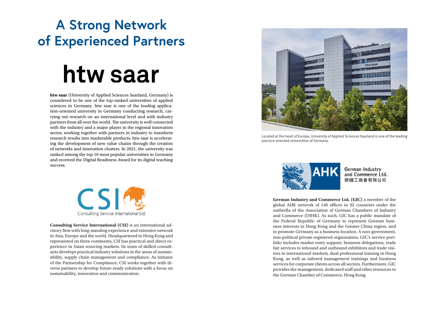**htw saar** (University of Applied Sciences Saarland, Germany) is considered to be one of the top-ranked universities of applied sciences in Germany. htw saar is one of the leading application-oriented university in Germany conducting research, carrying out research on an international level and with industry partners from all over the world. The university is well connected with the industry and a major player in the regional innovation sector, working together with partners in industry to transform research results into marketable products. htw saar is accelerating the development of new value chains through the creation of networks and innovation clusters. In 2021, the university was ranked among the top 10 most popular universities in Germany and received the Digital Readiness Award for its digital teaching success.



**Consulting Service International (CSI)** is an international advisory firm with long-standing experience and extensive network in Asia, Europe and the world. Headquartered in Hong Kong and represented on three continents, CSI has practical and direct experience in Asian sourcing markets. Its team of skilled consultants develops practical industry solutions in the areas of sustainability, supply chain management and compliance. As initiator of the Partnership for Compliance, CSI works together with diverse partners to develop future-ready solutions with a focus on sustainability, innovation and communication.

## **A Strong Network of Experienced Partners**

# htw saar



Located at the heart of Europe, University of Applied Sciences Saarland is one of the leading practice-oriented universities of Germany.



**German Industry and Commerce Ltd. (GIC)** a member of the global AHK network of 140 offices in 92 countries under the umbrella of the Association of German Chambers of Industry and Commerce (DIHK). As such, GIC has a public mandate of the Federal Republic of Germany to represent German business interests in Hong Kong and the Greater China region, and to promote Germany as a business location. A non-government, non-political private registered organisation, GIC's service portfolio includes market entry support, business delegations, trade fair services to inbound and outbound exhibitors and trade visitors in international markets, dual professional training in Hong Kong, as well as tailored management trainings and business services for corporate clients across all sectors. Furthermore, GIC provides the management, dedicated staff and other resources to the German Chamber of Commerce, Hong Kong.



**German Industry** and Commerce Ltd. 德國工商會有限公司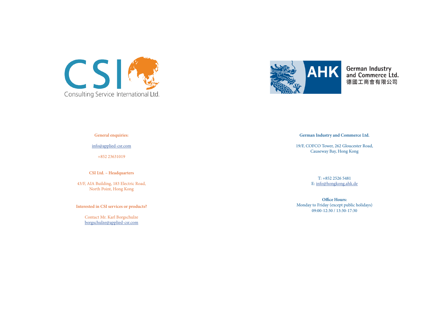



**General enquiries:** 

info@applied-csr.com

+852 23631019

**CSI Ltd. – Headquarters**

43/F, AIA Building, 183 Electric Road, North Point, Hong Kong

**Interested in CSI services or products?**

Contact Mr. Karl Borgschulze borgschulze@applied-csr.com

**German Industry and Commerce Ltd.** 

19/F, COFCO Tower, 262 Gloucester Road, Causeway Bay, Hong Kong

> T: +852 2526 5481 E: info@hongkong.ahk.de

**Office Hours:** Monday to Friday (except public holidays) 09:00-12:30 / 13:30-17:30



German Industry<br>and Commerce Ltd. 德國工商會有限公司